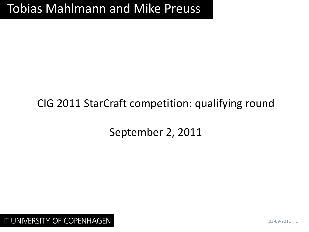## Tobias Mahlmann and Mike Preuss

### CIG 2011 StarCraft competition: qualifying round

September 2, 2011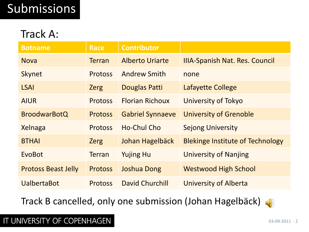# Submissions

### Track A:

| <b>Botname</b>             | <b>Race</b>    | <b>Contributor</b>      |                                         |
|----------------------------|----------------|-------------------------|-----------------------------------------|
| <b>Nova</b>                | <b>Terran</b>  | <b>Alberto Uriarte</b>  | <b>IIIA-Spanish Nat. Res. Council</b>   |
| <b>Skynet</b>              | <b>Protoss</b> | <b>Andrew Smith</b>     | none                                    |
| <b>LSAI</b>                | <b>Zerg</b>    | Douglas Patti           | Lafayette College                       |
| <b>AIUR</b>                | <b>Protoss</b> | <b>Florian Richoux</b>  | University of Tokyo                     |
| <b>BroodwarBotQ</b>        | <b>Protoss</b> | <b>Gabriel Synnaeve</b> | <b>University of Grenoble</b>           |
| Xelnaga                    | <b>Protoss</b> | Ho-Chul Cho             | <b>Sejong University</b>                |
| <b>BTHAI</b>               | <b>Zerg</b>    | Johan Hagelbäck         | <b>Blekinge Institute of Technology</b> |
| EvoBot                     | <b>Terran</b>  | <b>Yujing Hu</b>        | <b>University of Nanjing</b>            |
| <b>Protoss Beast Jelly</b> | <b>Protoss</b> | <b>Joshua Dong</b>      | <b>Westwood High School</b>             |
| <b>UalbertaBot</b>         | <b>Protoss</b> | David Churchill         | University of Alberta                   |

Track B cancelled, only one submission (Johan Hagelbäck)

#### $\left( \left\| \cdot \right\| \right)$

#### IT UNIVERSITY OF COPENHAGEN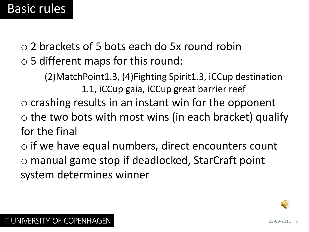### Basic rules

o 2 brackets of 5 bots each do 5x round robin o 5 different maps for this round:

> (2)MatchPoint1.3, (4)Fighting Spirit1.3, iCCup destination 1.1, iCCup gaia, iCCup great barrier reef

- $\circ$  crashing results in an instant win for the opponent
- $\circ$  the two bots with most wins (in each bracket) qualify for the final
- o if we have equal numbers, direct encounters count o manual game stop if deadlocked, StarCraft point system determines winner

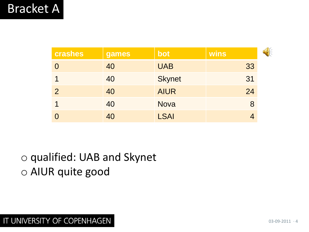| crashes        | games | bot           | wins |  |
|----------------|-------|---------------|------|--|
|                | 40    | <b>UAB</b>    | 33   |  |
|                | 40    | <b>Skynet</b> | 31   |  |
| $\overline{2}$ | 40    | <b>AIUR</b>   | 24   |  |
|                | 40    | <b>Nova</b>   | 8    |  |
|                | 40    | <b>LSAI</b>   |      |  |

o qualified: UAB and Skynet o AIUR quite good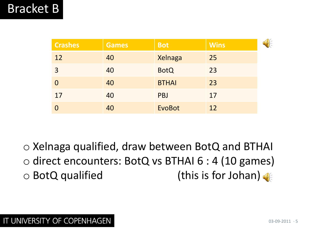| <b>Crashes</b> | <b>Games</b> | <b>Bot</b>    | <b>Wins</b> |  |
|----------------|--------------|---------------|-------------|--|
| 12             | 40           | Xelnaga       | 25          |  |
| 3              | 40           | <b>BotQ</b>   | 23          |  |
|                | 40           | <b>BTHAI</b>  | 23          |  |
| 17             | 40           | <b>PBJ</b>    | 17          |  |
|                | 40           | <b>EvoBot</b> | 12          |  |

o Xelnaga qualified, draw between BotQ and BTHAI o direct encounters: BotQ vs BTHAI 6 : 4 (10 games) o BotQ qualified (this is for Johan)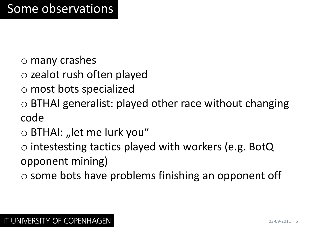- o many crashes
- o zealot rush often played
- o most bots specialized
- o BTHAI generalist: played other race without changing code
- $\circ$  BTHAI: "let me lurk you"
- o intestesting tactics played with workers (e.g. BotQ opponent mining)
- o some bots have problems finishing an opponent off